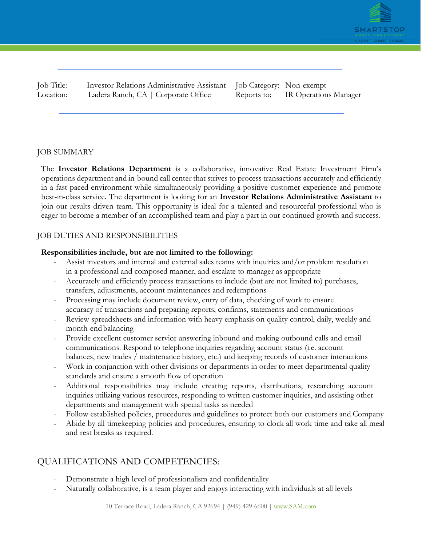

Job Title: Investor Relations Administrative Assistant Job Category: Non-exempt Location: Ladera Ranch, CA | Corporate Office Reports to: IR Operations Manager

## JOB SUMMARY

The **Investor Relations Department** is a collaborative, innovative Real Estate Investment Firm's operations department and in-bound call center that strives to process transactions accurately and efficiently in a fast-paced environment while simultaneously providing a positive customer experience and promote best-in-class service. The department is looking for an **Investor Relations Administrative Assistant** to join our results driven team. This opportunity is ideal for a talented and resourceful professional who is eager to become a member of an accomplished team and play a part in our continued growth and success.

### JOB DUTIES AND RESPONSIBILITIES

### **Responsibilities include, but are not limited to the following:**

- Assist investors and internal and external sales teams with inquiries and/or problem resolution in a professional and composed manner, and escalate to manager as appropriate
- Accurately and efficiently process transactions to include (but are not limited to) purchases, transfers, adjustments, account maintenances and redemptions
- Processing may include document review, entry of data, checking of work to ensure accuracy of transactions and preparing reports, confirms, statements and communications
- Review spreadsheets and information with heavy emphasis on quality control, daily, weekly and month-end balancing
- Provide excellent customer service answering inbound and making outbound calls and email communications. Respond to telephone inquiries regarding account status (i.e. account balances, new trades / maintenance history, etc.) and keeping records of customer interactions
- Work in conjunction with other divisions or departments in order to meet departmental quality standards and ensure a smooth flow of operation
- Additional responsibilities may include creating reports, distributions, researching account inquiries utilizing various resources, responding to written customer inquiries, and assisting other departments and management with special tasks as needed
- Follow established policies, procedures and guidelines to protect both our customers and Company
- Abide by all timekeeping policies and procedures, ensuring to clock all work time and take all meal and rest breaks as required.

# QUALIFICATIONS AND COMPETENCIES:

- Demonstrate a high level of professionalism and confidentiality
- Naturally collaborative, is a team player and enjoys interacting with individuals at all levels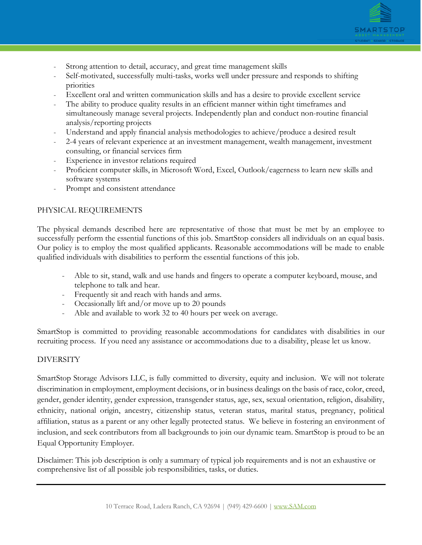

- Strong attention to detail, accuracy, and great time management skills
- Self-motivated, successfully multi-tasks, works well under pressure and responds to shifting priorities
- Excellent oral and written communication skills and has a desire to provide excellent service
- The ability to produce quality results in an efficient manner within tight timeframes and simultaneously manage several projects. Independently plan and conduct non-routine financial analysis/reporting projects
- Understand and apply financial analysis methodologies to achieve/produce a desired result
- 2-4 years of relevant experience at an investment management, wealth management, investment consulting, or financial services firm
- Experience in investor relations required
- Proficient computer skills, in Microsoft Word, Excel, Outlook/eagerness to learn new skills and software systems
- Prompt and consistent attendance

### PHYSICAL REQUIREMENTS

The physical demands described here are representative of those that must be met by an employee to successfully perform the essential functions of this job. SmartStop considers all individuals on an equal basis. Our policy is to employ the most qualified applicants. Reasonable accommodations will be made to enable qualified individuals with disabilities to perform the essential functions of this job.

- Able to sit, stand, walk and use hands and fingers to operate a computer keyboard, mouse, and telephone to talk and hear.
- Frequently sit and reach with hands and arms.
- Occasionally lift and/or move up to 20 pounds
- Able and available to work 32 to 40 hours per week on average.

SmartStop is committed to providing reasonable accommodations for candidates with disabilities in our recruiting process. If you need any assistance or accommodations due to a disability, please let us know.

#### DIVERSITY

SmartStop Storage Advisors LLC, is fully committed to diversity, equity and inclusion. We will not tolerate discrimination in employment, employment decisions, or in business dealings on the basis of race, color, creed, gender, gender identity, gender expression, transgender status, age, sex, sexual orientation, religion, disability, ethnicity, national origin, ancestry, citizenship status, veteran status, marital status, pregnancy, political affiliation, status as a parent or any other legally protected status. We believe in fostering an environment of inclusion, and seek contributors from all backgrounds to join our dynamic team. SmartStop is proud to be an Equal Opportunity Employer.

Disclaimer: This job description is only a summary of typical job requirements and is not an exhaustive or comprehensive list of all possible job responsibilities, tasks, or duties.